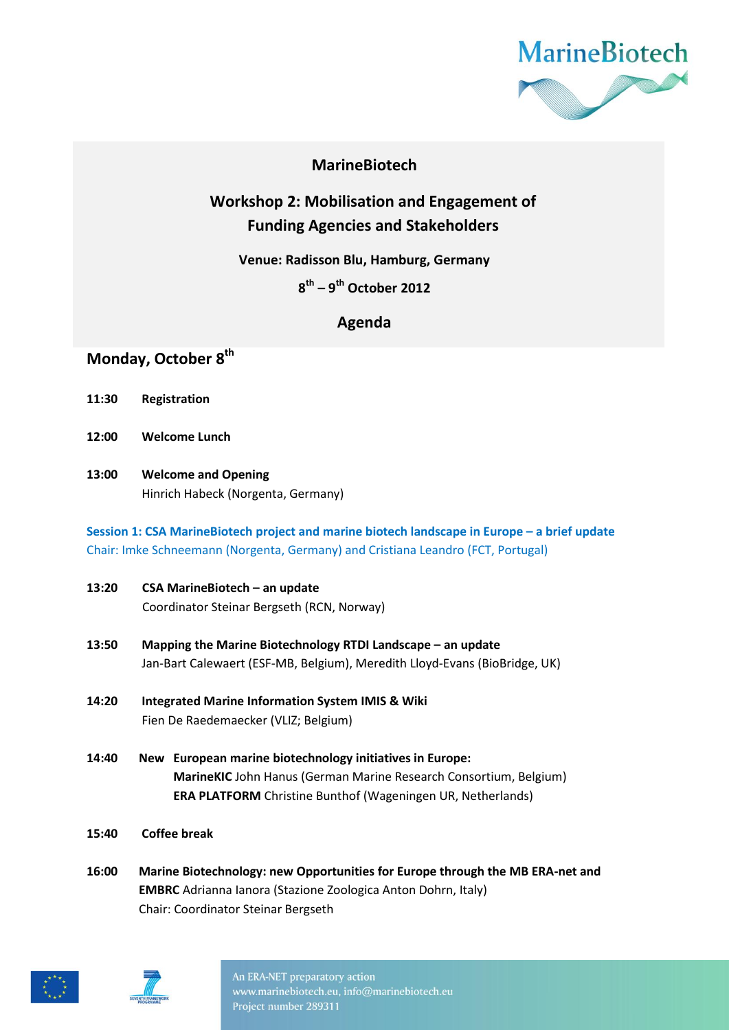

## **MarineBiotech**

# **Workshop 2: Mobilisation and Engagement of Funding Agencies and Stakeholders**

**Venue: Radisson Blu, Hamburg, Germany**

**8 th – 9 th October 2012**

### **Agenda**

## **Monday, October 8 th**

- **11:30 Registration**
- **12:00 Welcome Lunch**
- **13:00 Welcome and Opening**  Hinrich Habeck (Norgenta, Germany)

### **Session 1: CSA MarineBiotech project and marine biotech landscape in Europe – a brief update** Chair: Imke Schneemann (Norgenta, Germany) and Cristiana Leandro (FCT, Portugal)

- **13:20 CSA MarineBiotech – an update** Coordinator Steinar Bergseth (RCN, Norway)
- **13:50 Mapping the Marine Biotechnology RTDI Landscape – an update** Jan-Bart Calewaert (ESF-MB, Belgium), Meredith Lloyd-Evans (BioBridge, UK)
- **14:20 Integrated Marine Information System IMIS & Wiki** Fien De Raedemaecker (VLIZ; Belgium)
- **14:40 New European marine biotechnology initiatives in Europe: MarineKIC** John Hanus (German Marine Research Consortium, Belgium) **ERA PLATFORM** Christine Bunthof (Wageningen UR, Netherlands)
- **15:40 Coffee break**
- **16:00 Marine Biotechnology: new Opportunities for Europe through the MB ERA-net and EMBRC** Adrianna Ianora (Stazione Zoologica Anton Dohrn, Italy) Chair: Coordinator Steinar Bergseth





An ERA-NET preparatory action www.marinebiotech.eu, info@marinebiotech.eu Project number 289311